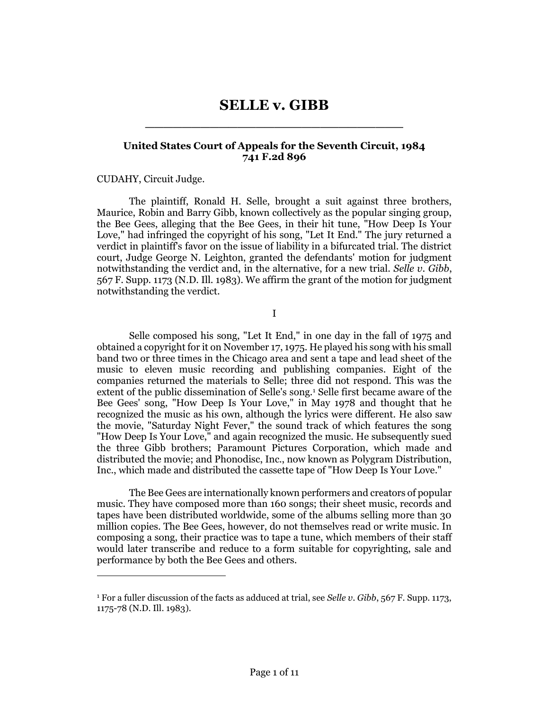# **United States Court of Appeals for the Seventh Circuit, 1984 741 F.2d 896**

### CUDAHY, Circuit Judge.

 $\overline{a}$ 

The plaintiff, Ronald H. Selle, brought a suit against three brothers, Maurice, Robin and Barry Gibb, known collectively as the popular singing group, the Bee Gees, alleging that the Bee Gees, in their hit tune, "How Deep Is Your Love," had infringed the copyright of his song, "Let It End." The jury returned a verdict in plaintiff's favor on the issue of liability in a bifurcated trial. The district court, Judge George N. Leighton, granted the defendants' motion for judgment notwithstanding the verdict and, in the alternative, for a new trial. *Selle v. Gibb*, 567 F. Supp. 1173 (N.D. Ill. 1983). We affirm the grant of the motion for judgment notwithstanding the verdict.

I

Selle composed his song, "Let It End," in one day in the fall of 1975 and obtained a copyright for it on November 17, 1975. He played his song with his small band two or three times in the Chicago area and sent a tape and lead sheet of the music to eleven music recording and publishing companies. Eight of the companies returned the materials to Selle; three did not respond. This was the extent of the public dissemination of Selle's song.<sup>1</sup> Selle first became aware of the Bee Gees' song, "How Deep Is Your Love," in May 1978 and thought that he recognized the music as his own, although the lyrics were different. He also saw the movie, "Saturday Night Fever," the sound track of which features the song "How Deep Is Your Love," and again recognized the music. He subsequently sued the three Gibb brothers; Paramount Pictures Corporation, which made and distributed the movie; and Phonodisc, Inc., now known as Polygram Distribution, Inc., which made and distributed the cassette tape of "How Deep Is Your Love."

The Bee Gees are internationally known performers and creators of popular music. They have composed more than 160 songs; their sheet music, records and tapes have been distributed worldwide, some of the albums selling more than 30 million copies. The Bee Gees, however, do not themselves read or write music. In composing a song, their practice was to tape a tune, which members of their staff would later transcribe and reduce to a form suitable for copyrighting, sale and performance by both the Bee Gees and others.

<sup>1</sup> For a fuller discussion of the facts as adduced at trial, see *Selle v. Gibb*, 567 F. Supp. 1173, 1175-78 (N.D. Ill. 1983).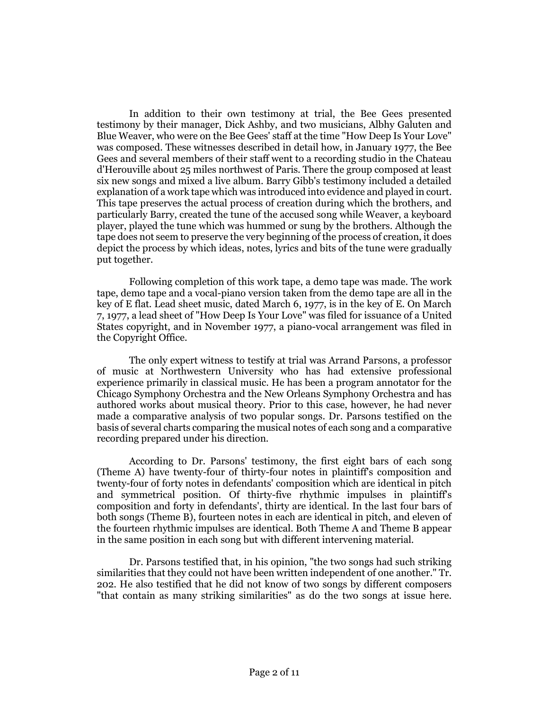In addition to their own testimony at trial, the Bee Gees presented testimony by their manager, Dick Ashby, and two musicians, Albhy Galuten and Blue Weaver, who were on the Bee Gees' staff at the time "How Deep Is Your Love" was composed. These witnesses described in detail how, in January 1977, the Bee Gees and several members of their staff went to a recording studio in the Chateau d'Herouville about 25 miles northwest of Paris. There the group composed at least six new songs and mixed a live album. Barry Gibb's testimony included a detailed explanation of a work tape which was introduced into evidence and played in court. This tape preserves the actual process of creation during which the brothers, and particularly Barry, created the tune of the accused song while Weaver, a keyboard player, played the tune which was hummed or sung by the brothers. Although the tape does not seem to preserve the very beginning of the process of creation, it does depict the process by which ideas, notes, lyrics and bits of the tune were gradually put together.

Following completion of this work tape, a demo tape was made. The work tape, demo tape and a vocal-piano version taken from the demo tape are all in the key of E flat. Lead sheet music, dated March 6, 1977, is in the key of E. On March 7, 1977, a lead sheet of "How Deep Is Your Love" was filed for issuance of a United States copyright, and in November 1977, a piano-vocal arrangement was filed in the Copyright Office.

The only expert witness to testify at trial was Arrand Parsons, a professor of music at Northwestern University who has had extensive professional experience primarily in classical music. He has been a program annotator for the Chicago Symphony Orchestra and the New Orleans Symphony Orchestra and has authored works about musical theory. Prior to this case, however, he had never made a comparative analysis of two popular songs. Dr. Parsons testified on the basis of several charts comparing the musical notes of each song and a comparative recording prepared under his direction.

According to Dr. Parsons' testimony, the first eight bars of each song (Theme A) have twenty-four of thirty-four notes in plaintiff's composition and twenty-four of forty notes in defendants' composition which are identical in pitch and symmetrical position. Of thirty-five rhythmic impulses in plaintiff's composition and forty in defendants', thirty are identical. In the last four bars of both songs (Theme B), fourteen notes in each are identical in pitch, and eleven of the fourteen rhythmic impulses are identical. Both Theme A and Theme B appear in the same position in each song but with different intervening material.

Dr. Parsons testified that, in his opinion, "the two songs had such striking similarities that they could not have been written independent of one another." Tr. 202. He also testified that he did not know of two songs by different composers "that contain as many striking similarities" as do the two songs at issue here.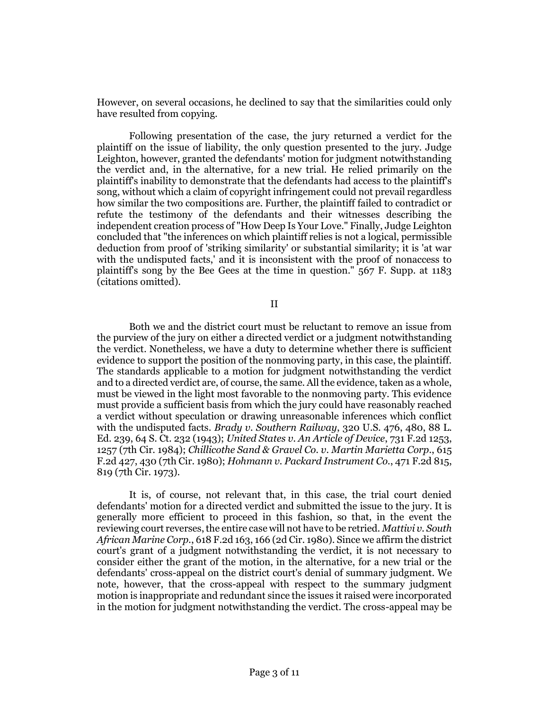However, on several occasions, he declined to say that the similarities could only have resulted from copying.

Following presentation of the case, the jury returned a verdict for the plaintiff on the issue of liability, the only question presented to the jury. Judge Leighton, however, granted the defendants' motion for judgment notwithstanding the verdict and, in the alternative, for a new trial. He relied primarily on the plaintiff's inability to demonstrate that the defendants had access to the plaintiff's song, without which a claim of copyright infringement could not prevail regardless how similar the two compositions are. Further, the plaintiff failed to contradict or refute the testimony of the defendants and their witnesses describing the independent creation process of "How Deep Is Your Love." Finally, Judge Leighton concluded that "the inferences on which plaintiff relies is not a logical, permissible deduction from proof of 'striking similarity' or substantial similarity; it is 'at war with the undisputed facts,' and it is inconsistent with the proof of nonaccess to plaintiff's song by the Bee Gees at the time in question." 567 F. Supp. at 1183 (citations omitted).

II

Both we and the district court must be reluctant to remove an issue from the purview of the jury on either a directed verdict or a judgment notwithstanding the verdict. Nonetheless, we have a duty to determine whether there is sufficient evidence to support the position of the nonmoving party, in this case, the plaintiff. The standards applicable to a motion for judgment notwithstanding the verdict and to a directed verdict are, of course, the same. All the evidence, taken as a whole, must be viewed in the light most favorable to the nonmoving party. This evidence must provide a sufficient basis from which the jury could have reasonably reached a verdict without speculation or drawing unreasonable inferences which conflict with the undisputed facts. *Brady v. Southern Railway*, 320 U.S. 476, 480, 88 L. Ed. 239, 64 S. Ct. 232 (1943); *United States v. An Article of Device*, 731 F.2d 1253, 1257 (7th Cir. 1984); *Chillicothe Sand & Gravel Co. v. Martin Marietta Corp.*, 615 F.2d 427, 430 (7th Cir. 1980); *Hohmann v. Packard Instrument Co.*, 471 F.2d 815, 819 (7th Cir. 1973).

It is, of course, not relevant that, in this case, the trial court denied defendants' motion for a directed verdict and submitted the issue to the jury. It is generally more efficient to proceed in this fashion, so that, in the event the reviewing court reverses, the entire case will not have to be retried. *Mattivi v. South African Marine Corp.*, 618 F.2d 163, 166 (2d Cir. 1980). Since we affirm the district court's grant of a judgment notwithstanding the verdict, it is not necessary to consider either the grant of the motion, in the alternative, for a new trial or the defendants' cross-appeal on the district court's denial of summary judgment. We note, however, that the cross-appeal with respect to the summary judgment motion is inappropriate and redundant since the issues it raised were incorporated in the motion for judgment notwithstanding the verdict. The cross-appeal may be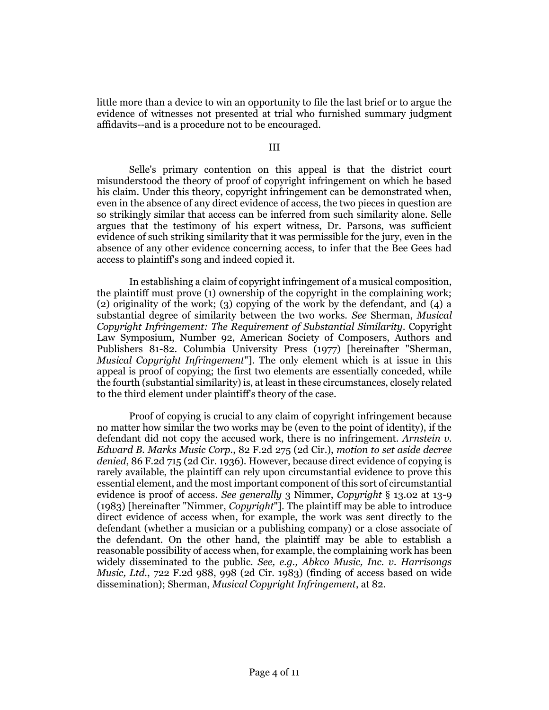little more than a device to win an opportunity to file the last brief or to argue the evidence of witnesses not presented at trial who furnished summary judgment affidavits--and is a procedure not to be encouraged.

### III

Selle's primary contention on this appeal is that the district court misunderstood the theory of proof of copyright infringement on which he based his claim. Under this theory, copyright infringement can be demonstrated when, even in the absence of any direct evidence of access, the two pieces in question are so strikingly similar that access can be inferred from such similarity alone. Selle argues that the testimony of his expert witness, Dr. Parsons, was sufficient evidence of such striking similarity that it was permissible for the jury, even in the absence of any other evidence concerning access, to infer that the Bee Gees had access to plaintiff's song and indeed copied it.

In establishing a claim of copyright infringement of a musical composition, the plaintiff must prove (1) ownership of the copyright in the complaining work; (2) originality of the work; (3) copying of the work by the defendant, and (4) a substantial degree of similarity between the two works. *See* Sherman, *Musical Copyright Infringement: The Requirement of Substantial Similarity*. Copyright Law Symposium, Number 92, American Society of Composers, Authors and Publishers 81-82. Columbia University Press (1977) [hereinafter "Sherman, *Musical Copyright Infringement*"]. The only element which is at issue in this appeal is proof of copying; the first two elements are essentially conceded, while the fourth (substantial similarity) is, at least in these circumstances, closely related to the third element under plaintiff's theory of the case.

Proof of copying is crucial to any claim of copyright infringement because no matter how similar the two works may be (even to the point of identity), if the defendant did not copy the accused work, there is no infringement. *Arnstein v. Edward B. Marks Music Corp.*, 82 F.2d 275 (2d Cir.), *motion to set aside decree denied*, 86 F.2d 715 (2d Cir. 1936). However, because direct evidence of copying is rarely available, the plaintiff can rely upon circumstantial evidence to prove this essential element, and the most important component of this sort of circumstantial evidence is proof of access. *See generally* 3 Nimmer, *Copyright* § 13.02 at 13-9 (1983) [hereinafter "Nimmer, *Copyright*"]. The plaintiff may be able to introduce direct evidence of access when, for example, the work was sent directly to the defendant (whether a musician or a publishing company) or a close associate of the defendant. On the other hand, the plaintiff may be able to establish a reasonable possibility of access when, for example, the complaining work has been widely disseminated to the public. *See, e.g., Abkco Music, Inc. v. Harrisongs Music, Ltd.*, 722 F.2d 988, 998 (2d Cir. 1983) (finding of access based on wide dissemination); Sherman, *Musical Copyright Infringement*, at 82.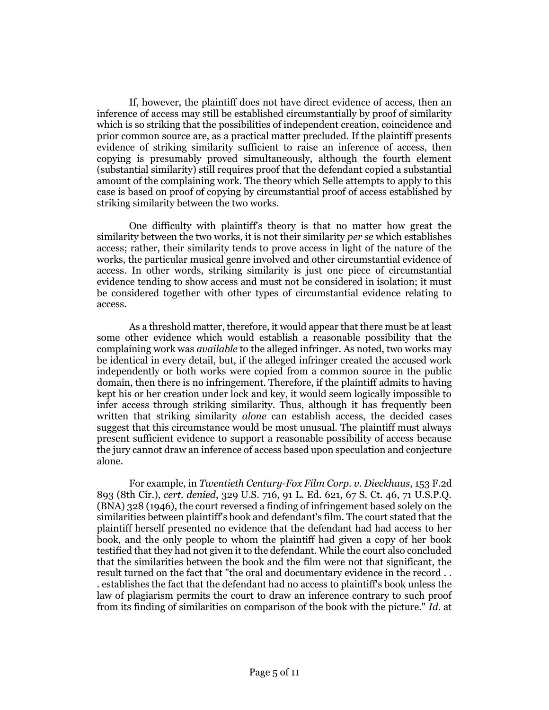If, however, the plaintiff does not have direct evidence of access, then an inference of access may still be established circumstantially by proof of similarity which is so striking that the possibilities of independent creation, coincidence and prior common source are, as a practical matter precluded. If the plaintiff presents evidence of striking similarity sufficient to raise an inference of access, then copying is presumably proved simultaneously, although the fourth element (substantial similarity) still requires proof that the defendant copied a substantial amount of the complaining work. The theory which Selle attempts to apply to this case is based on proof of copying by circumstantial proof of access established by striking similarity between the two works.

One difficulty with plaintiff's theory is that no matter how great the similarity between the two works, it is not their similarity *per se* which establishes access; rather, their similarity tends to prove access in light of the nature of the works, the particular musical genre involved and other circumstantial evidence of access. In other words, striking similarity is just one piece of circumstantial evidence tending to show access and must not be considered in isolation; it must be considered together with other types of circumstantial evidence relating to access.

As a threshold matter, therefore, it would appear that there must be at least some other evidence which would establish a reasonable possibility that the complaining work was *available* to the alleged infringer. As noted, two works may be identical in every detail, but, if the alleged infringer created the accused work independently or both works were copied from a common source in the public domain, then there is no infringement. Therefore, if the plaintiff admits to having kept his or her creation under lock and key, it would seem logically impossible to infer access through striking similarity. Thus, although it has frequently been written that striking similarity *alone* can establish access, the decided cases suggest that this circumstance would be most unusual. The plaintiff must always present sufficient evidence to support a reasonable possibility of access because the jury cannot draw an inference of access based upon speculation and conjecture alone.

For example, in *Twentieth Century-Fox Film Corp. v. Dieckhaus*, 153 F.2d 893 (8th Cir.), *cert. denied*, 329 U.S. 716, 91 L. Ed. 621, 67 S. Ct. 46, 71 U.S.P.Q. (BNA) 328 (1946), the court reversed a finding of infringement based solely on the similarities between plaintiff's book and defendant's film. The court stated that the plaintiff herself presented no evidence that the defendant had had access to her book, and the only people to whom the plaintiff had given a copy of her book testified that they had not given it to the defendant. While the court also concluded that the similarities between the book and the film were not that significant, the result turned on the fact that "the oral and documentary evidence in the record . . . establishes the fact that the defendant had no access to plaintiff's book unless the law of plagiarism permits the court to draw an inference contrary to such proof from its finding of similarities on comparison of the book with the picture." *Id.* at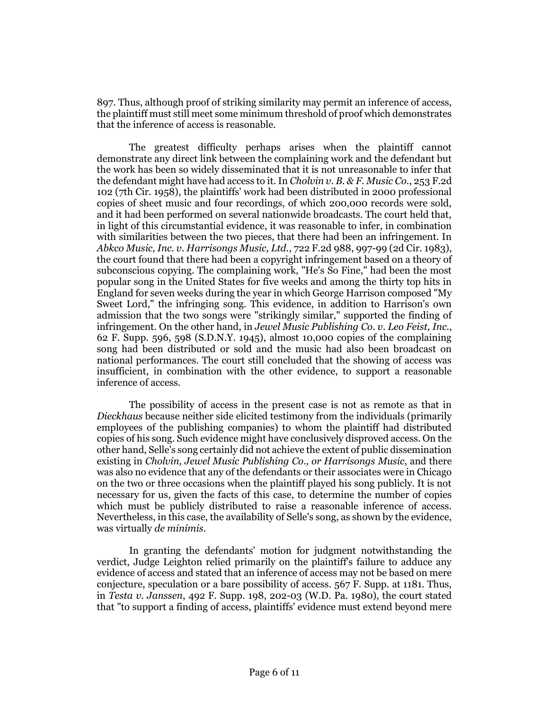897. Thus, although proof of striking similarity may permit an inference of access, the plaintiff must still meet some minimum threshold of proof which demonstrates that the inference of access is reasonable.

The greatest difficulty perhaps arises when the plaintiff cannot demonstrate any direct link between the complaining work and the defendant but the work has been so widely disseminated that it is not unreasonable to infer that the defendant might have had access to it. In *Cholvin v. B. & F. Music Co.*, 253 F.2d 102 (7th Cir. 1958), the plaintiffs' work had been distributed in 2000 professional copies of sheet music and four recordings, of which 200,000 records were sold, and it had been performed on several nationwide broadcasts. The court held that, in light of this circumstantial evidence, it was reasonable to infer, in combination with similarities between the two pieces, that there had been an infringement. In *Abkco Music, Inc. v. Harrisongs Music, Ltd.*, 722 F.2d 988, 997-99 (2d Cir. 1983), the court found that there had been a copyright infringement based on a theory of subconscious copying. The complaining work, "He's So Fine," had been the most popular song in the United States for five weeks and among the thirty top hits in England for seven weeks during the year in which George Harrison composed "My Sweet Lord," the infringing song. This evidence, in addition to Harrison's own admission that the two songs were "strikingly similar," supported the finding of infringement. On the other hand, in *Jewel Music Publishing Co. v. Leo Feist, Inc.*, 62 F. Supp. 596, 598 (S.D.N.Y. 1945), almost 10,000 copies of the complaining song had been distributed or sold and the music had also been broadcast on national performances. The court still concluded that the showing of access was insufficient, in combination with the other evidence, to support a reasonable inference of access.

The possibility of access in the present case is not as remote as that in *Dieckhaus* because neither side elicited testimony from the individuals (primarily employees of the publishing companies) to whom the plaintiff had distributed copies of his song. Such evidence might have conclusively disproved access. On the other hand, Selle's song certainly did not achieve the extent of public dissemination existing in *Cholvin, Jewel Music Publishing Co., or Harrisongs Music*, and there was also no evidence that any of the defendants or their associates were in Chicago on the two or three occasions when the plaintiff played his song publicly. It is not necessary for us, given the facts of this case, to determine the number of copies which must be publicly distributed to raise a reasonable inference of access. Nevertheless, in this case, the availability of Selle's song, as shown by the evidence, was virtually *de minimis*.

In granting the defendants' motion for judgment notwithstanding the verdict, Judge Leighton relied primarily on the plaintiff's failure to adduce any evidence of access and stated that an inference of access may not be based on mere conjecture, speculation or a bare possibility of access. 567 F. Supp. at 1181. Thus, in *Testa v. Janssen*, 492 F. Supp. 198, 202-03 (W.D. Pa. 1980), the court stated that "to support a finding of access, plaintiffs' evidence must extend beyond mere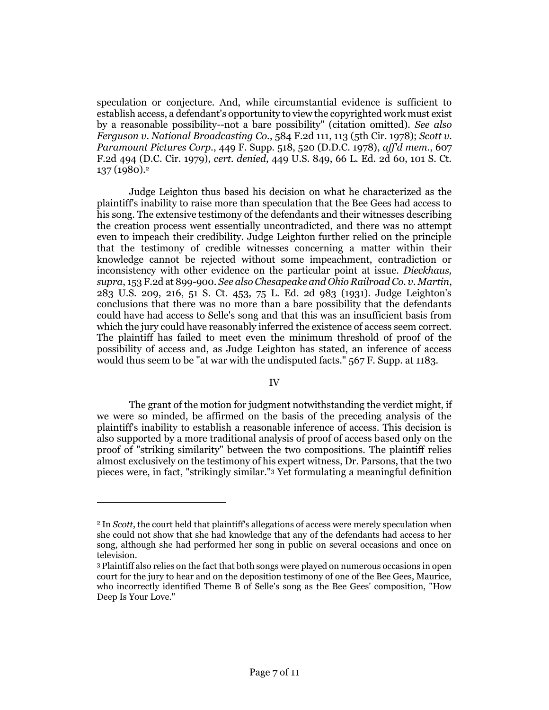speculation or conjecture. And, while circumstantial evidence is sufficient to establish access, a defendant's opportunity to view the copyrighted work must exist by a reasonable possibility--not a bare possibility" (citation omitted). *See also Ferguson v. National Broadcasting Co.*, 584 F.2d 111, 113 (5th Cir. 1978); *Scott v. Paramount Pictures Corp.*, 449 F. Supp. 518, 520 (D.D.C. 1978), *aff'd mem.*, 607 F.2d 494 (D.C. Cir. 1979), *cert. denied*, 449 U.S. 849, 66 L. Ed. 2d 60, 101 S. Ct. 137 (1980).<sup>2</sup>

Judge Leighton thus based his decision on what he characterized as the plaintiff's inability to raise more than speculation that the Bee Gees had access to his song. The extensive testimony of the defendants and their witnesses describing the creation process went essentially uncontradicted, and there was no attempt even to impeach their credibility. Judge Leighton further relied on the principle that the testimony of credible witnesses concerning a matter within their knowledge cannot be rejected without some impeachment, contradiction or inconsistency with other evidence on the particular point at issue. *Dieckhaus, supra*, 153 F.2d at 899-900. *See also Chesapeake and Ohio Railroad Co. v. Martin*, 283 U.S. 209, 216, 51 S. Ct. 453, 75 L. Ed. 2d 983 (1931). Judge Leighton's conclusions that there was no more than a bare possibility that the defendants could have had access to Selle's song and that this was an insufficient basis from which the jury could have reasonably inferred the existence of access seem correct. The plaintiff has failed to meet even the minimum threshold of proof of the possibility of access and, as Judge Leighton has stated, an inference of access would thus seem to be "at war with the undisputed facts." 567 F. Supp. at 1183.

# IV

The grant of the motion for judgment notwithstanding the verdict might, if we were so minded, be affirmed on the basis of the preceding analysis of the plaintiff's inability to establish a reasonable inference of access. This decision is also supported by a more traditional analysis of proof of access based only on the proof of "striking similarity" between the two compositions. The plaintiff relies almost exclusively on the testimony of his expert witness, Dr. Parsons, that the two pieces were, in fact, "strikingly similar."<sup>3</sup> Yet formulating a meaningful definition

 $\overline{a}$ 

<sup>2</sup> In *Scott*, the court held that plaintiff's allegations of access were merely speculation when she could not show that she had knowledge that any of the defendants had access to her song, although she had performed her song in public on several occasions and once on television.

<sup>3</sup> Plaintiff also relies on the fact that both songs were played on numerous occasions in open court for the jury to hear and on the deposition testimony of one of the Bee Gees, Maurice, who incorrectly identified Theme B of Selle's song as the Bee Gees' composition, "How Deep Is Your Love."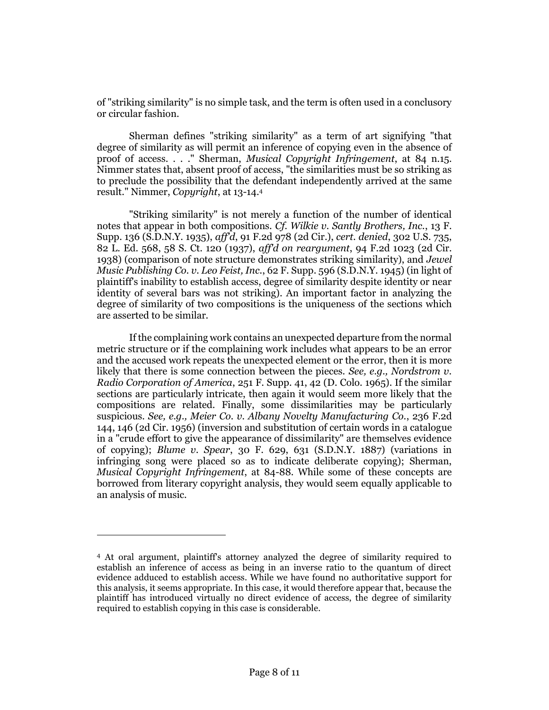of "striking similarity" is no simple task, and the term is often used in a conclusory or circular fashion.

Sherman defines "striking similarity" as a term of art signifying "that degree of similarity as will permit an inference of copying even in the absence of proof of access. . . ." Sherman, *Musical Copyright Infringement*, at 84 n.15. Nimmer states that, absent proof of access, "the similarities must be so striking as to preclude the possibility that the defendant independently arrived at the same result." Nimmer, *Copyright*, at 13-14.<sup>4</sup>

"Striking similarity" is not merely a function of the number of identical notes that appear in both compositions. *Cf. Wilkie v. Santly Brothers, Inc.*, 13 F. Supp. 136 (S.D.N.Y. 1935), *aff'd*, 91 F.2d 978 (2d Cir.), *cert. denied*, 302 U.S. 735, 82 L. Ed. 568, 58 S. Ct. 120 (1937), *aff'd on reargument*, 94 F.2d 1023 (2d Cir. 1938) (comparison of note structure demonstrates striking similarity), and *Jewel Music Publishing Co. v. Leo Feist, Inc.*, 62 F. Supp. 596 (S.D.N.Y. 1945) (in light of plaintiff's inability to establish access, degree of similarity despite identity or near identity of several bars was not striking). An important factor in analyzing the degree of similarity of two compositions is the uniqueness of the sections which are asserted to be similar.

If the complaining work contains an unexpected departure from the normal metric structure or if the complaining work includes what appears to be an error and the accused work repeats the unexpected element or the error, then it is more likely that there is some connection between the pieces. *See, e.g., Nordstrom v. Radio Corporation of America*, 251 F. Supp. 41, 42 (D. Colo. 1965). If the similar sections are particularly intricate, then again it would seem more likely that the compositions are related. Finally, some dissimilarities may be particularly suspicious. *See, e.g., Meier Co. v. Albany Novelty Manufacturing Co.*, 236 F.2d 144, 146 (2d Cir. 1956) (inversion and substitution of certain words in a catalogue in a "crude effort to give the appearance of dissimilarity" are themselves evidence of copying); *Blume v. Spear*, 30 F. 629, 631 (S.D.N.Y. 1887) (variations in infringing song were placed so as to indicate deliberate copying); Sherman, *Musical Copyright Infringement*, at 84-88. While some of these concepts are borrowed from literary copyright analysis, they would seem equally applicable to an analysis of music.

 $\overline{a}$ 

<sup>4</sup> At oral argument, plaintiff's attorney analyzed the degree of similarity required to establish an inference of access as being in an inverse ratio to the quantum of direct evidence adduced to establish access. While we have found no authoritative support for this analysis, it seems appropriate. In this case, it would therefore appear that, because the plaintiff has introduced virtually no direct evidence of access, the degree of similarity required to establish copying in this case is considerable.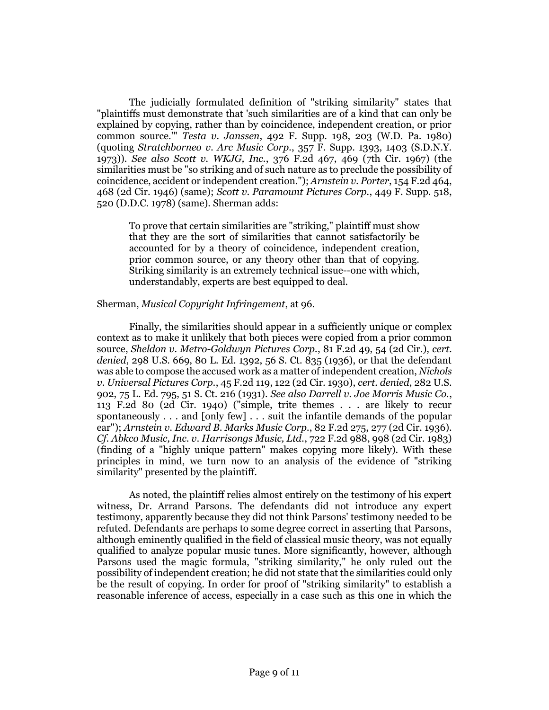The judicially formulated definition of "striking similarity" states that "plaintiffs must demonstrate that 'such similarities are of a kind that can only be explained by copying, rather than by coincidence, independent creation, or prior common source.'" *Testa v. Janssen*, 492 F. Supp. 198, 203 (W.D. Pa. 1980) (quoting *Stratchborneo v. Arc Music Corp.*, 357 F. Supp. 1393, 1403 (S.D.N.Y. 1973)). *See also Scott v. WKJG, Inc.*, 376 F.2d 467, 469 (7th Cir. 1967) (the similarities must be "so striking and of such nature as to preclude the possibility of coincidence, accident or independent creation."); *Arnstein v. Porter*, 154 F.2d 464, 468 (2d Cir. 1946) (same); *Scott v. Paramount Pictures Corp.*, 449 F. Supp. 518, 520 (D.D.C. 1978) (same). Sherman adds:

To prove that certain similarities are "striking," plaintiff must show that they are the sort of similarities that cannot satisfactorily be accounted for by a theory of coincidence, independent creation, prior common source, or any theory other than that of copying. Striking similarity is an extremely technical issue--one with which, understandably, experts are best equipped to deal.

### Sherman, *Musical Copyright Infringement*, at 96.

Finally, the similarities should appear in a sufficiently unique or complex context as to make it unlikely that both pieces were copied from a prior common source, *Sheldon v. Metro-Goldwyn Pictures Corp.*, 81 F.2d 49, 54 (2d Cir.), *cert. denied*, 298 U.S. 669, 80 L. Ed. 1392, 56 S. Ct. 835 (1936), or that the defendant was able to compose the accused work as a matter of independent creation, *Nichols v. Universal Pictures Corp.*, 45 F.2d 119, 122 (2d Cir. 1930), *cert. denied*, 282 U.S. 902, 75 L. Ed. 795, 51 S. Ct. 216 (1931). *See also Darrell v. Joe Morris Music Co.*, 113 F.2d 80 (2d Cir. 1940) ("simple, trite themes . . . are likely to recur spontaneously  $\ldots$  and [only few]  $\ldots$  suit the infantile demands of the popular ear"); *Arnstein v. Edward B. Marks Music Corp.*, 82 F.2d 275, 277 (2d Cir. 1936). *Cf. Abkco Music, Inc. v. Harrisongs Music, Ltd.*, 722 F.2d 988, 998 (2d Cir. 1983) (finding of a "highly unique pattern" makes copying more likely). With these principles in mind, we turn now to an analysis of the evidence of "striking similarity" presented by the plaintiff.

As noted, the plaintiff relies almost entirely on the testimony of his expert witness, Dr. Arrand Parsons. The defendants did not introduce any expert testimony, apparently because they did not think Parsons' testimony needed to be refuted. Defendants are perhaps to some degree correct in asserting that Parsons, although eminently qualified in the field of classical music theory, was not equally qualified to analyze popular music tunes. More significantly, however, although Parsons used the magic formula, "striking similarity," he only ruled out the possibility of independent creation; he did not state that the similarities could only be the result of copying. In order for proof of "striking similarity" to establish a reasonable inference of access, especially in a case such as this one in which the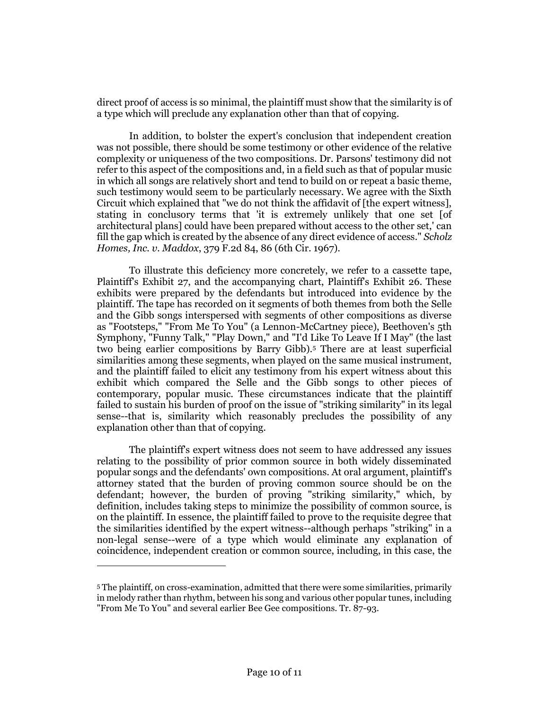direct proof of access is so minimal, the plaintiff must show that the similarity is of a type which will preclude any explanation other than that of copying.

In addition, to bolster the expert's conclusion that independent creation was not possible, there should be some testimony or other evidence of the relative complexity or uniqueness of the two compositions. Dr. Parsons' testimony did not refer to this aspect of the compositions and, in a field such as that of popular music in which all songs are relatively short and tend to build on or repeat a basic theme, such testimony would seem to be particularly necessary. We agree with the Sixth Circuit which explained that "we do not think the affidavit of [the expert witness], stating in conclusory terms that 'it is extremely unlikely that one set [of architectural plans] could have been prepared without access to the other set,' can fill the gap which is created by the absence of any direct evidence of access." *Scholz Homes, Inc. v. Maddox*, 379 F.2d 84, 86 (6th Cir. 1967).

To illustrate this deficiency more concretely, we refer to a cassette tape, Plaintiff's Exhibit 27, and the accompanying chart, Plaintiff's Exhibit 26. These exhibits were prepared by the defendants but introduced into evidence by the plaintiff. The tape has recorded on it segments of both themes from both the Selle and the Gibb songs interspersed with segments of other compositions as diverse as "Footsteps," "From Me To You" (a Lennon-McCartney piece), Beethoven's 5th Symphony, "Funny Talk," "Play Down," and "I'd Like To Leave If I May" (the last two being earlier compositions by Barry Gibb).<sup>5</sup> There are at least superficial similarities among these segments, when played on the same musical instrument, and the plaintiff failed to elicit any testimony from his expert witness about this exhibit which compared the Selle and the Gibb songs to other pieces of contemporary, popular music. These circumstances indicate that the plaintiff failed to sustain his burden of proof on the issue of "striking similarity" in its legal sense--that is, similarity which reasonably precludes the possibility of any explanation other than that of copying.

The plaintiff's expert witness does not seem to have addressed any issues relating to the possibility of prior common source in both widely disseminated popular songs and the defendants' own compositions. At oral argument, plaintiff's attorney stated that the burden of proving common source should be on the defendant; however, the burden of proving "striking similarity," which, by definition, includes taking steps to minimize the possibility of common source, is on the plaintiff. In essence, the plaintiff failed to prove to the requisite degree that the similarities identified by the expert witness--although perhaps "striking" in a non-legal sense--were of a type which would eliminate any explanation of coincidence, independent creation or common source, including, in this case, the

 $\overline{a}$ 

<sup>5</sup> The plaintiff, on cross-examination, admitted that there were some similarities, primarily in melody rather than rhythm, between his song and various other popular tunes, including "From Me To You" and several earlier Bee Gee compositions. Tr. 87-93.